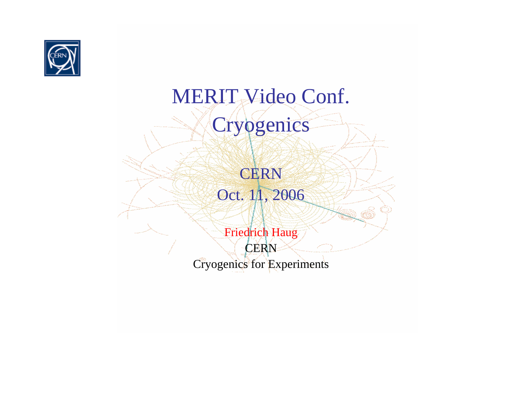

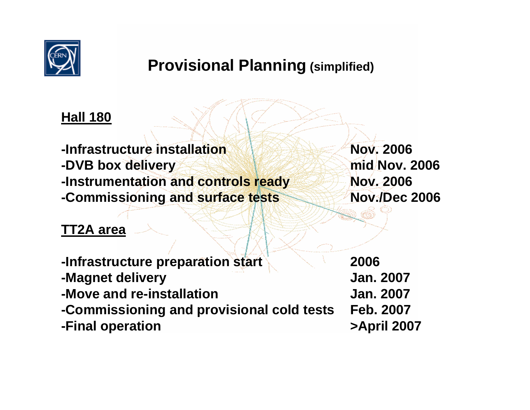

#### **Provisional Planning (simplified)**

#### **Hall 180**

**-Infrastructure installation-DVB box delivery mid Nov. 2006 -Instrumentation and controls ready Nov. 2006 -Commissioning and surface tests Nov./Dec 2006**

#### **TT2A area**

**-Infrastructure preparation start 2006 -Magnet delivery Jan. 2007 -Move and re-installation Jan. 2007-Commissioning and provisional cold tests Feb. 2007 -Final operation >April 2007**

**Nov. 2006**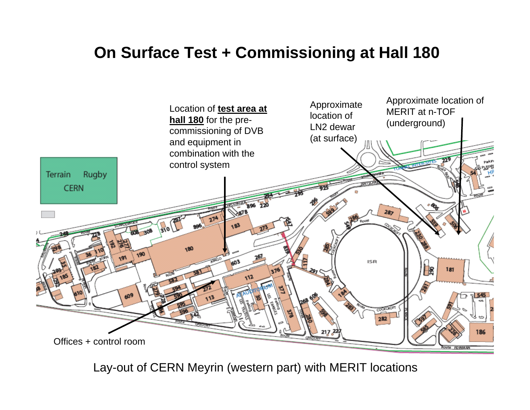### **On Surface Test + Commissioning at Hall 180**



Lay-out of CERN Meyrin (western part) with MERIT locations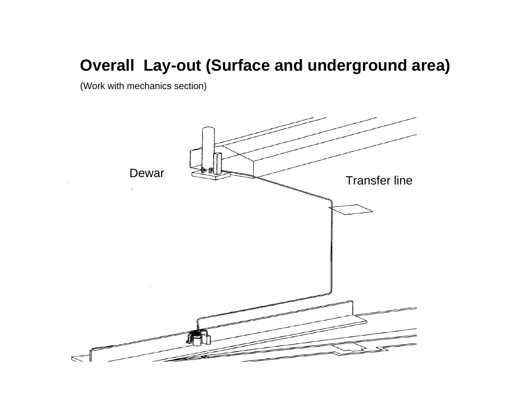#### **Overall Lay-out (Surface and underground area)**

(Work with mechanics section)

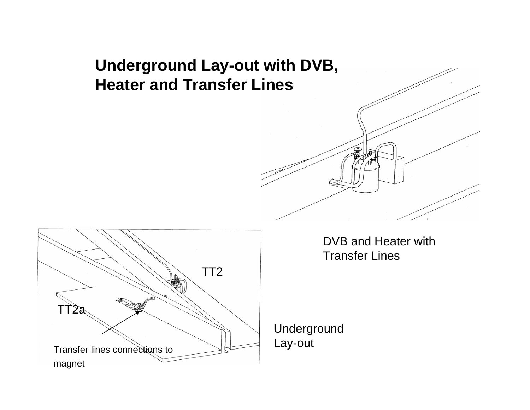### **Underground Lay-out with DVB, Heater and Transfer Lines**





DVB and Heater withTransfer Lines

Underground Lay-out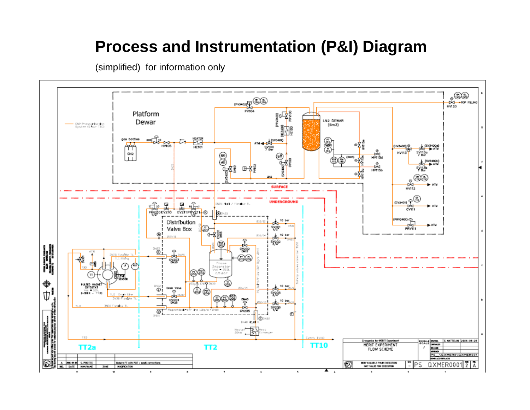#### **Process and Instrumentation (P&I) Diagram**

(simplified) for information only

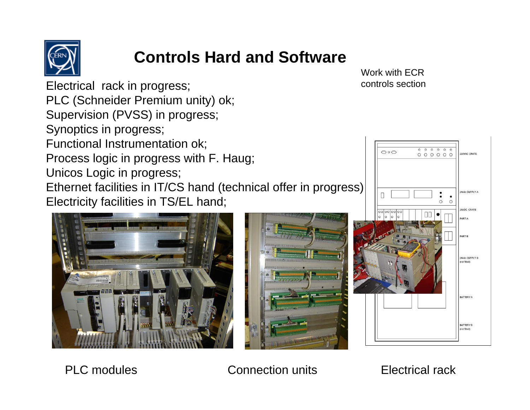

# **Controls Hard and Software**

Electrical rack in progress; PLC (Schneider Premium unity) ok; Supervision (PVSS) in progress; Synoptics in progress; Functional Instrumentation ok; Process logic in progress with F. Haug; Unicos Logic in progress; Ethernet facilities in IT/CS hand (technical offer in progress) Electricity facilities in TS/EL hand;





Work with ECR controls section



PLC modules Connection units Electrical rack